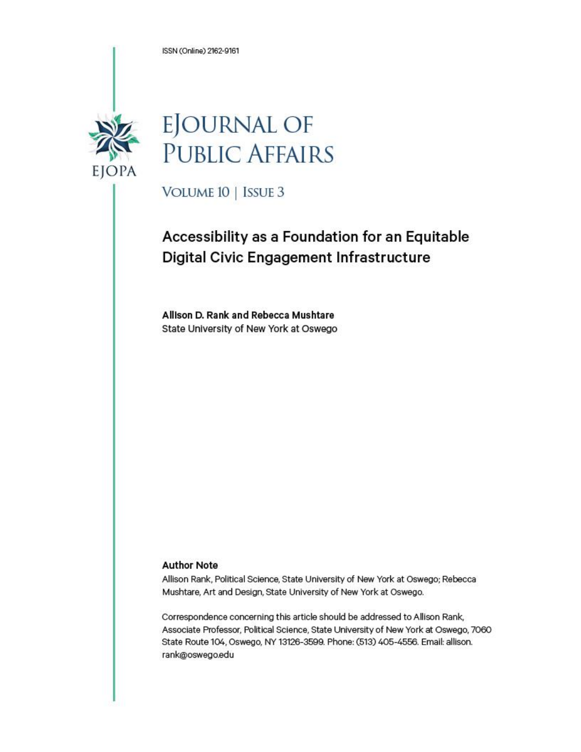ISSN (Online) 2162-9161



# **EJOURNAL OF PUBLIC AFFAIRS**

VOLUME 10 | ISSUE 3

# Accessibility as a Foundation for an Equitable Digital Civic Engagement Infrastructure

Allison D. Rank and Rebecca Mushtare State University of New York at Oswego

#### **Author Note**

Allison Rank, Political Science, State University of New York at Oswego; Rebecca Mushtare, Art and Design, State University of New York at Oswego.

Correspondence concerning this article should be addressed to Allison Rank, Associate Professor, Political Science, State University of New York at Oswego, 7060 State Route 104, Oswego, NY 13126-3599. Phone: (513) 405-4556. Email: allison. rank@oswego.edu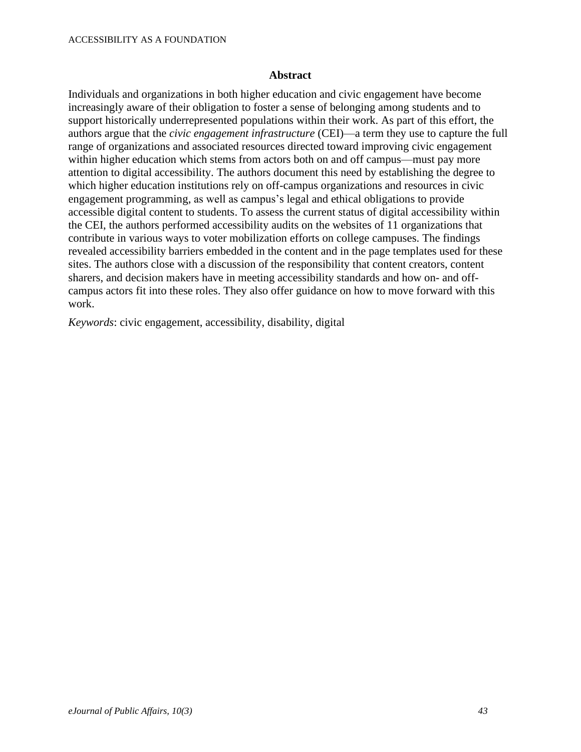#### **Abstract**

Individuals and organizations in both higher education and civic engagement have become increasingly aware of their obligation to foster a sense of belonging among students and to support historically underrepresented populations within their work. As part of this effort, the authors argue that the *civic engagement infrastructure* (CEI)—a term they use to capture the full range of organizations and associated resources directed toward improving civic engagement within higher education which stems from actors both on and off campus—must pay more attention to digital accessibility. The authors document this need by establishing the degree to which higher education institutions rely on off-campus organizations and resources in civic engagement programming, as well as campus's legal and ethical obligations to provide accessible digital content to students. To assess the current status of digital accessibility within the CEI, the authors performed accessibility audits on the websites of 11 organizations that contribute in various ways to voter mobilization efforts on college campuses. The findings revealed accessibility barriers embedded in the content and in the page templates used for these sites. The authors close with a discussion of the responsibility that content creators, content sharers, and decision makers have in meeting accessibility standards and how on- and offcampus actors fit into these roles. They also offer guidance on how to move forward with this work.

*Keywords*: civic engagement, accessibility, disability, digital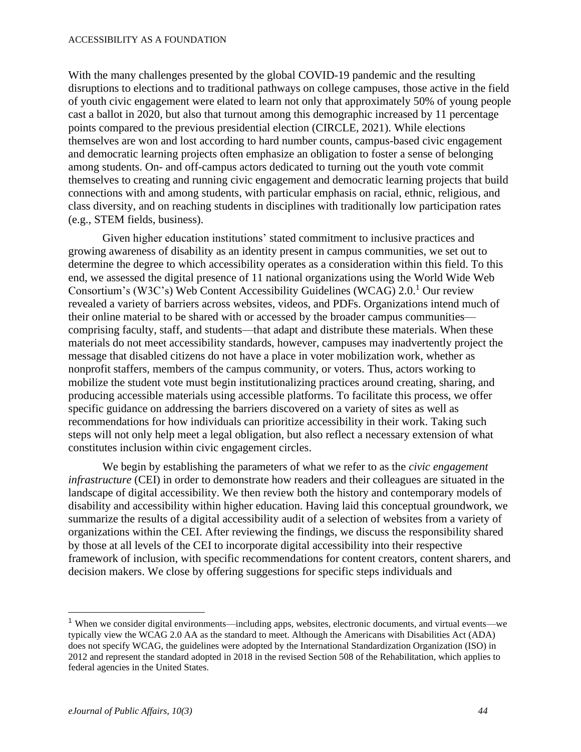#### ACCESSIBILITY AS A FOUNDATION

With the many challenges presented by the global COVID-19 pandemic and the resulting disruptions to elections and to traditional pathways on college campuses, those active in the field of youth civic engagement were elated to learn not only that approximately 50% of young people cast a ballot in 2020, but also that turnout among this demographic increased by 11 percentage points compared to the previous presidential election (CIRCLE, 2021). While elections themselves are won and lost according to hard number counts, campus-based civic engagement and democratic learning projects often emphasize an obligation to foster a sense of belonging among students. On- and off-campus actors dedicated to turning out the youth vote commit themselves to creating and running civic engagement and democratic learning projects that build connections with and among students, with particular emphasis on racial, ethnic, religious, and class diversity, and on reaching students in disciplines with traditionally low participation rates (e.g., STEM fields, business).

Given higher education institutions' stated commitment to inclusive practices and growing awareness of disability as an identity present in campus communities, we set out to determine the degree to which accessibility operates as a consideration within this field. To this end, we assessed the digital presence of 11 national organizations using the World Wide Web Consortium's (W3C's) Web Content Accessibility Guidelines (WCAG) 2.0.<sup>1</sup> Our review revealed a variety of barriers across websites, videos, and PDFs. Organizations intend much of their online material to be shared with or accessed by the broader campus communities comprising faculty, staff, and students—that adapt and distribute these materials. When these materials do not meet accessibility standards, however, campuses may inadvertently project the message that disabled citizens do not have a place in voter mobilization work, whether as nonprofit staffers, members of the campus community, or voters. Thus, actors working to mobilize the student vote must begin institutionalizing practices around creating, sharing, and producing accessible materials using accessible platforms. To facilitate this process, we offer specific guidance on addressing the barriers discovered on a variety of sites as well as recommendations for how individuals can prioritize accessibility in their work. Taking such steps will not only help meet a legal obligation, but also reflect a necessary extension of what constitutes inclusion within civic engagement circles.

We begin by establishing the parameters of what we refer to as the *civic engagement infrastructure* (CEI) in order to demonstrate how readers and their colleagues are situated in the landscape of digital accessibility. We then review both the history and contemporary models of disability and accessibility within higher education. Having laid this conceptual groundwork, we summarize the results of a digital accessibility audit of a selection of websites from a variety of organizations within the CEI. After reviewing the findings, we discuss the responsibility shared by those at all levels of the CEI to incorporate digital accessibility into their respective framework of inclusion, with specific recommendations for content creators, content sharers, and decision makers. We close by offering suggestions for specific steps individuals and

<sup>1</sup> When we consider digital environments—including apps, websites, electronic documents, and virtual events—we typically view the WCAG 2.0 AA as the standard to meet. Although the Americans with Disabilities Act (ADA) does not specify WCAG, the guidelines were adopted by the International Standardization Organization (ISO) in 2012 and represent the standard adopted in 2018 in the revised Section 508 of the Rehabilitation, which applies to federal agencies in the United States.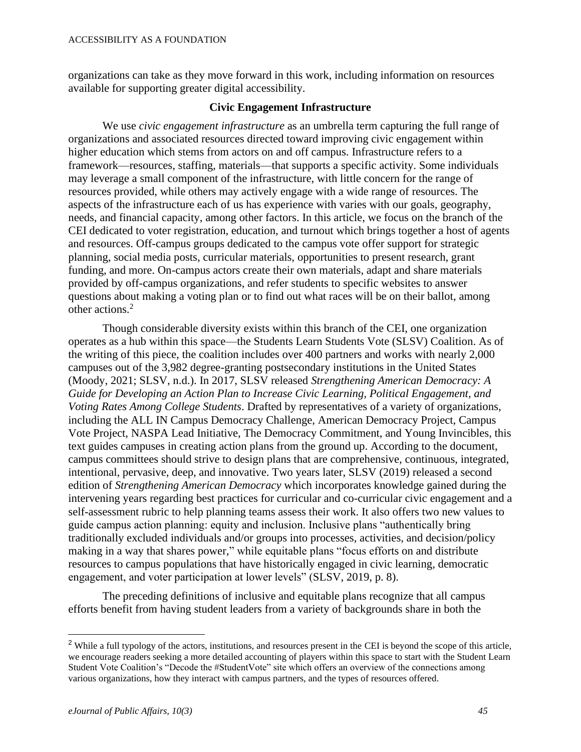organizations can take as they move forward in this work, including information on resources available for supporting greater digital accessibility.

#### **Civic Engagement Infrastructure**

We use *civic engagement infrastructure* as an umbrella term capturing the full range of organizations and associated resources directed toward improving civic engagement within higher education which stems from actors on and off campus. Infrastructure refers to a framework—resources, staffing, materials—that supports a specific activity. Some individuals may leverage a small component of the infrastructure, with little concern for the range of resources provided, while others may actively engage with a wide range of resources. The aspects of the infrastructure each of us has experience with varies with our goals, geography, needs, and financial capacity, among other factors. In this article, we focus on the branch of the CEI dedicated to voter registration, education, and turnout which brings together a host of agents and resources. Off-campus groups dedicated to the campus vote offer support for strategic planning, social media posts, curricular materials, opportunities to present research, grant funding, and more. On-campus actors create their own materials, adapt and share materials provided by off-campus organizations, and refer students to specific websites to answer questions about making a voting plan or to find out what races will be on their ballot, among other actions. 2

Though considerable diversity exists within this branch of the CEI, one organization operates as a hub within this space—the Students Learn Students Vote (SLSV) Coalition. As of the writing of this piece, the coalition includes over 400 partners and works with nearly 2,000 campuses out of the 3,982 degree-granting postsecondary institutions in the United States (Moody, 2021; SLSV, n.d.). In 2017, SLSV released *Strengthening American Democracy: A Guide for Developing an Action Plan to Increase Civic Learning, Political Engagement, and Voting Rates Among College Students*. Drafted by representatives of a variety of organizations, including the ALL IN Campus Democracy Challenge, American Democracy Project, Campus Vote Project, NASPA Lead Initiative, The Democracy Commitment, and Young Invincibles, this text guides campuses in creating action plans from the ground up. According to the document, campus committees should strive to design plans that are comprehensive, continuous, integrated, intentional, pervasive, deep, and innovative. Two years later, SLSV (2019) released a second edition of *Strengthening American Democracy* which incorporates knowledge gained during the intervening years regarding best practices for curricular and co-curricular civic engagement and a self-assessment rubric to help planning teams assess their work. It also offers two new values to guide campus action planning: equity and inclusion. Inclusive plans "authentically bring traditionally excluded individuals and/or groups into processes, activities, and decision/policy making in a way that shares power," while equitable plans "focus efforts on and distribute resources to campus populations that have historically engaged in civic learning, democratic engagement, and voter participation at lower levels" (SLSV, 2019, p. 8).

The preceding definitions of inclusive and equitable plans recognize that all campus efforts benefit from having student leaders from a variety of backgrounds share in both the

<sup>&</sup>lt;sup>2</sup> While a full typology of the actors, institutions, and resources present in the CEI is beyond the scope of this article, we encourage readers seeking a more detailed accounting of players within this space to start with the Student Learn Student Vote Coalition's "Decode the #StudentVote" site which offers an overview of the connections among various organizations, how they interact with campus partners, and the types of resources offered.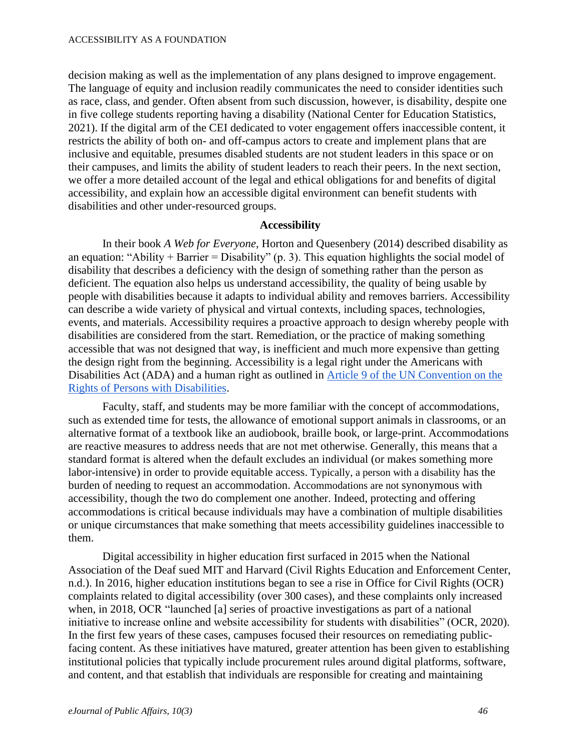decision making as well as the implementation of any plans designed to improve engagement. The language of equity and inclusion readily communicates the need to consider identities such as race, class, and gender. Often absent from such discussion, however, is disability, despite one in five college students reporting having a disability (National Center for Education Statistics, 2021). If the digital arm of the CEI dedicated to voter engagement offers inaccessible content, it restricts the ability of both on- and off-campus actors to create and implement plans that are inclusive and equitable, presumes disabled students are not student leaders in this space or on their campuses, and limits the ability of student leaders to reach their peers. In the next section, we offer a more detailed account of the legal and ethical obligations for and benefits of digital accessibility, and explain how an accessible digital environment can benefit students with disabilities and other under-resourced groups.

#### **Accessibility**

In their book *A Web for Everyone*, Horton and Quesenbery (2014) described disability as an equation: "Ability + Barrier = Disability" (p. 3). This equation highlights the social model of disability that describes a deficiency with the design of something rather than the person as deficient. The equation also helps us understand accessibility, the quality of being usable by people with disabilities because it adapts to individual ability and removes barriers. Accessibility can describe a wide variety of physical and virtual contexts, including spaces, technologies, events, and materials. Accessibility requires a proactive approach to design whereby people with disabilities are considered from the start. Remediation, or the practice of making something accessible that was not designed that way, is inefficient and much more expensive than getting the design right from the beginning. Accessibility is a legal right under the Americans with Disabilities Act (ADA) and a human right as outlined in [Article 9 of the UN Convention on the](https://www.un.org/development/desa/disabilities/convention-on-the-rights-of-persons-with-disabilities/article-9-accessibility.html)  [Rights of Persons with Disabilities.](https://www.un.org/development/desa/disabilities/convention-on-the-rights-of-persons-with-disabilities/article-9-accessibility.html)

Faculty, staff, and students may be more familiar with the concept of accommodations, such as extended time for tests, the allowance of emotional support animals in classrooms, or an alternative format of a textbook like an audiobook, braille book, or large-print. Accommodations are reactive measures to address needs that are not met otherwise. Generally, this means that a standard format is altered when the default excludes an individual (or makes something more labor-intensive) in order to provide equitable access. Typically, a person with a disability has the burden of needing to request an accommodation. Accommodations are not synonymous with accessibility, though the two do complement one another. Indeed, protecting and offering accommodations is critical because individuals may have a combination of multiple disabilities or unique circumstances that make something that meets accessibility guidelines inaccessible to them.

Digital accessibility in higher education first surfaced in 2015 when the National Association of the Deaf sued MIT and Harvard (Civil Rights Education and Enforcement Center, n.d.). In 2016, higher education institutions began to see a rise in Office for Civil Rights (OCR) complaints related to digital accessibility (over 300 cases), and these complaints only increased when, in 2018, OCR "launched [a] series of proactive investigations as part of a national initiative to increase online and website accessibility for students with disabilities" (OCR, 2020). In the first few years of these cases, campuses focused their resources on remediating publicfacing content. As these initiatives have matured, greater attention has been given to establishing institutional policies that typically include procurement rules around digital platforms, software, and content, and that establish that individuals are responsible for creating and maintaining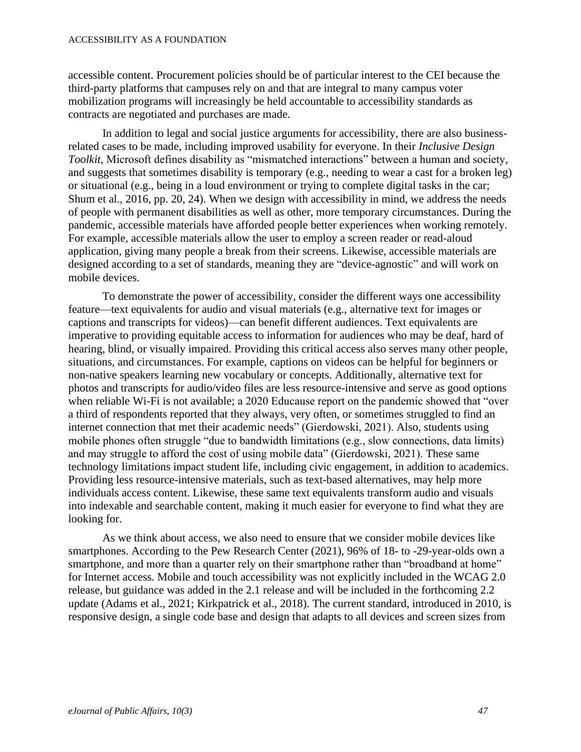#### ACCESSIBILITY AS A FOUNDATION

accessible content. Procurement policies should be of particular interest to the CEI because the third-party platforms that campuses rely on and that are integral to many campus voter mobilization programs will increasingly be held accountable to accessibility standards as contracts are negotiated and purchases are made.

In addition to legal and social justice arguments for accessibility, there are also businessrelated cases to be made, including improved usability for everyone. In their *Inclusive Design Toolkit*, Microsoft defines disability as "mismatched interactions" between a human and society, and suggests that sometimes disability is temporary (e.g., needing to wear a cast for a broken leg) or situational (e.g., being in a loud environment or trying to complete digital tasks in the car; Shum et al., 2016, pp. 20, 24). When we design with accessibility in mind, we address the needs of people with permanent disabilities as well as other, more temporary circumstances. During the pandemic, accessible materials have afforded people better experiences when working remotely. For example, accessible materials allow the user to employ a screen reader or read-aloud application, giving many people a break from their screens. Likewise, accessible materials are designed according to a set of standards, meaning they are "device-agnostic" and will work on mobile devices.

To demonstrate the power of accessibility, consider the different ways one accessibility feature—text equivalents for audio and visual materials (e.g., alternative text for images or captions and transcripts for videos)—can benefit different audiences. Text equivalents are imperative to providing equitable access to information for audiences who may be deaf, hard of hearing, blind, or visually impaired. Providing this critical access also serves many other people, situations, and circumstances. For example, captions on videos can be helpful for beginners or non-native speakers learning new vocabulary or concepts. Additionally, alternative text for photos and transcripts for audio/video files are less resource-intensive and serve as good options when reliable Wi-Fi is not available; a 2020 Educause report on the pandemic showed that "over a third of respondents reported that they always, very often, or sometimes struggled to find an internet connection that met their academic needs" (Gierdowski, 2021). Also, students using mobile phones often struggle "due to bandwidth limitations (e.g., slow connections, data limits) and may struggle to afford the cost of using mobile data" (Gierdowski, 2021). These same technology limitations impact student life, including civic engagement, in addition to academics. Providing less resource-intensive materials, such as text-based alternatives, may help more individuals access content. Likewise, these same text equivalents transform audio and visuals into indexable and searchable content, making it much easier for everyone to find what they are looking for.

As we think about access, we also need to ensure that we consider mobile devices like smartphones. According to the Pew Research Center (2021), 96% of 18- to -29-year-olds own a smartphone, and more than a quarter rely on their smartphone rather than "broadband at home" for Internet access. Mobile and touch accessibility was not explicitly included in the WCAG 2.0 release, but guidance was added in the 2.1 release and will be included in the forthcoming 2.2 update (Adams et al., 2021; Kirkpatrick et al., 2018). The current standard, introduced in 2010, is responsive design, a single code base and design that adapts to all devices and screen sizes from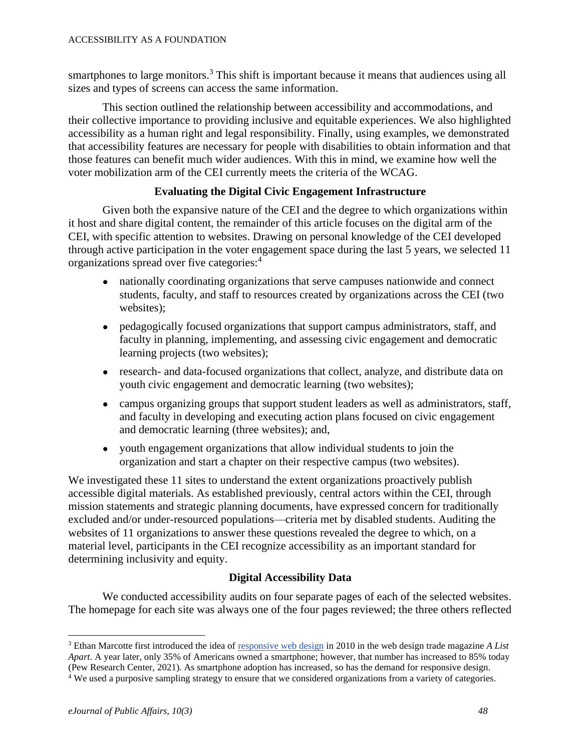smartphones to large monitors.<sup>3</sup> This shift is important because it means that audiences using all sizes and types of screens can access the same information.

This section outlined the relationship between accessibility and accommodations, and their collective importance to providing inclusive and equitable experiences. We also highlighted accessibility as a human right and legal responsibility. Finally, using examples, we demonstrated that accessibility features are necessary for people with disabilities to obtain information and that those features can benefit much wider audiences. With this in mind, we examine how well the voter mobilization arm of the CEI currently meets the criteria of the WCAG.

# **Evaluating the Digital Civic Engagement Infrastructure**

Given both the expansive nature of the CEI and the degree to which organizations within it host and share digital content, the remainder of this article focuses on the digital arm of the CEI, with specific attention to websites. Drawing on personal knowledge of the CEI developed through active participation in the voter engagement space during the last 5 years, we selected 11 organizations spread over five categories:<sup>4</sup>

- nationally coordinating organizations that serve campuses nationwide and connect students, faculty, and staff to resources created by organizations across the CEI (two websites);
- pedagogically focused organizations that support campus administrators, staff, and faculty in planning, implementing, and assessing civic engagement and democratic learning projects (two websites);
- research- and data-focused organizations that collect, analyze, and distribute data on youth civic engagement and democratic learning (two websites);
- campus organizing groups that support student leaders as well as administrators, staff, and faculty in developing and executing action plans focused on civic engagement and democratic learning (three websites); and,
- youth engagement organizations that allow individual students to join the organization and start a chapter on their respective campus (two websites).

We investigated these 11 sites to understand the extent organizations proactively publish accessible digital materials. As established previously, central actors within the CEI, through mission statements and strategic planning documents, have expressed concern for traditionally excluded and/or under-resourced populations—criteria met by disabled students. Auditing the websites of 11 organizations to answer these questions revealed the degree to which, on a material level, participants in the CEI recognize accessibility as an important standard for determining inclusivity and equity.

# **Digital Accessibility Data**

We conducted accessibility audits on four separate pages of each of the selected websites. The homepage for each site was always one of the four pages reviewed; the three others reflected

<sup>3</sup> Ethan Marcotte first introduced the idea o[f responsive web design](https://alistapart.com/article/responsive-web-design/) in 2010 in the web design trade magazine *A List Apart*. A year later, only 35% of Americans owned a smartphone; however, that number has increased to 85% today (Pew Research Center, 2021). As smartphone adoption has increased, so has the demand for responsive design.

<sup>&</sup>lt;sup>4</sup> We used a purposive sampling strategy to ensure that we considered organizations from a variety of categories.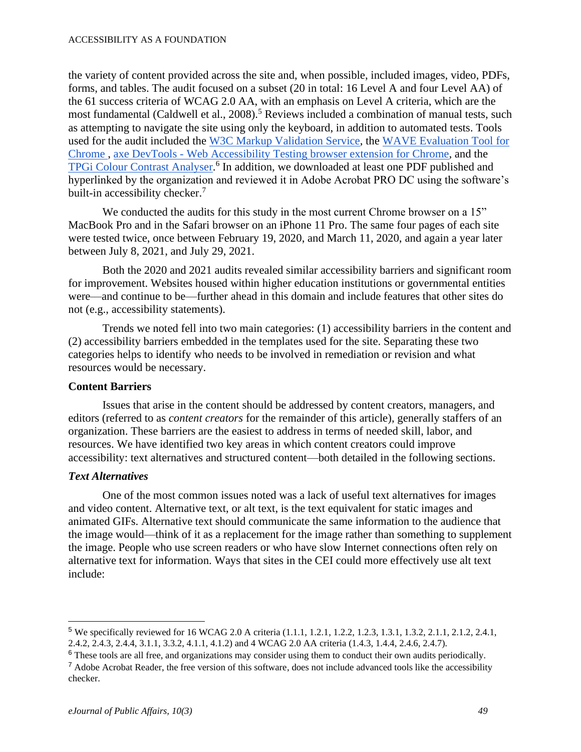the variety of content provided across the site and, when possible, included images, video, PDFs, forms, and tables. The audit focused on a subset (20 in total: 16 Level A and four Level AA) of the 61 success criteria of WCAG 2.0 AA, with an emphasis on Level A criteria, which are the most fundamental (Caldwell et al., 2008).<sup>5</sup> Reviews included a combination of manual tests, such as attempting to navigate the site using only the keyboard, in addition to automated tests. Tools used for the audit included the [W3C Markup Validation Service,](https://validator.w3.org/) the [WAVE Evaluation Tool for](https://chrome.google.com/webstore/detail/wave-evaluation-tool/jbbplnpkjmmeebjpijfedlgcdilocofh?hl=en-US)  [Chrome ,](https://chrome.google.com/webstore/detail/wave-evaluation-tool/jbbplnpkjmmeebjpijfedlgcdilocofh?hl=en-US) axe DevTools - [Web Accessibility Testing browser extension for Chrome,](https://chrome.google.com/webstore/detail/axe-devtools-web-accessib/lhdoppojpmngadmnindnejefpokejbdd?hl=en-US) and the [TPGi Colour Contrast Analyser.](https://www.tpgi.com/color-contrast-checker/)<sup>6</sup> In addition, we downloaded at least one PDF published and hyperlinked by the organization and reviewed it in Adobe Acrobat PRO DC using the software's built-in accessibility checker.<sup>7</sup>

We conducted the audits for this study in the most current Chrome browser on a 15" MacBook Pro and in the Safari browser on an iPhone 11 Pro. The same four pages of each site were tested twice, once between February 19, 2020, and March 11, 2020, and again a year later between July 8, 2021, and July 29, 2021.

Both the 2020 and 2021 audits revealed similar accessibility barriers and significant room for improvement. Websites housed within higher education institutions or governmental entities were—and continue to be—further ahead in this domain and include features that other sites do not (e.g., accessibility statements).

Trends we noted fell into two main categories: (1) accessibility barriers in the content and (2) accessibility barriers embedded in the templates used for the site. Separating these two categories helps to identify who needs to be involved in remediation or revision and what resources would be necessary.

# **Content Barriers**

Issues that arise in the content should be addressed by content creators, managers, and editors (referred to as *content creators* for the remainder of this article), generally staffers of an organization. These barriers are the easiest to address in terms of needed skill, labor, and resources. We have identified two key areas in which content creators could improve accessibility: text alternatives and structured content—both detailed in the following sections.

#### *Text Alternatives*

One of the most common issues noted was a lack of useful text alternatives for images and video content. Alternative text, or alt text, is the text equivalent for static images and animated GIFs. Alternative text should communicate the same information to the audience that the image would—think of it as a replacement for the image rather than something to supplement the image. People who use screen readers or who have slow Internet connections often rely on alternative text for information. Ways that sites in the CEI could more effectively use alt text include:

<sup>5</sup> We specifically reviewed for 16 WCAG 2.0 A criteria (1.1.1, 1.2.1, 1.2.2, 1.2.3, 1.3.1, 1.3.2, 2.1.1, 2.1.2, 2.4.1, 2.4.2, 2.4.3, 2.4.4, 3.1.1, 3.3.2, 4.1.1, 4.1.2) and 4 WCAG 2.0 AA criteria (1.4.3, 1.4.4, 2.4.6, 2.4.7).

<sup>6</sup> These tools are all free, and organizations may consider using them to conduct their own audits periodically.

<sup>&</sup>lt;sup>7</sup> Adobe Acrobat Reader, the free version of this software, does not include advanced tools like the accessibility checker.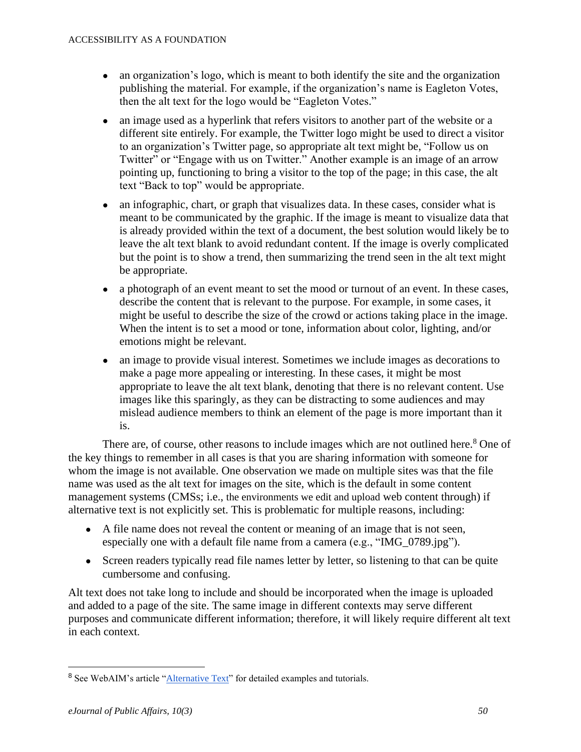- an organization's logo, which is meant to both identify the site and the organization publishing the material. For example, if the organization's name is Eagleton Votes, then the alt text for the logo would be "Eagleton Votes."
- an image used as a hyperlink that refers visitors to another part of the website or a different site entirely. For example, the Twitter logo might be used to direct a visitor to an organization's Twitter page, so appropriate alt text might be, "Follow us on Twitter" or "Engage with us on Twitter." Another example is an image of an arrow pointing up, functioning to bring a visitor to the top of the page; in this case, the alt text "Back to top" would be appropriate.
- an infographic, chart, or graph that visualizes data. In these cases, consider what is meant to be communicated by the graphic. If the image is meant to visualize data that is already provided within the text of a document, the best solution would likely be to leave the alt text blank to avoid redundant content. If the image is overly complicated but the point is to show a trend, then summarizing the trend seen in the alt text might be appropriate.
- a photograph of an event meant to set the mood or turnout of an event. In these cases, describe the content that is relevant to the purpose. For example, in some cases, it might be useful to describe the size of the crowd or actions taking place in the image. When the intent is to set a mood or tone, information about color, lighting, and/or emotions might be relevant.
- an image to provide visual interest. Sometimes we include images as decorations to make a page more appealing or interesting. In these cases, it might be most appropriate to leave the alt text blank, denoting that there is no relevant content. Use images like this sparingly, as they can be distracting to some audiences and may mislead audience members to think an element of the page is more important than it is.

There are, of course, other reasons to include images which are not outlined here.<sup>8</sup> One of the key things to remember in all cases is that you are sharing information with someone for whom the image is not available. One observation we made on multiple sites was that the file name was used as the alt text for images on the site, which is the default in some content management systems (CMSs; i.e., the environments we edit and upload web content through) if alternative text is not explicitly set. This is problematic for multiple reasons, including:

- A file name does not reveal the content or meaning of an image that is not seen, especially one with a default file name from a camera (e.g., "IMG\_0789.jpg").
- Screen readers typically read file names letter by letter, so listening to that can be quite cumbersome and confusing.

Alt text does not take long to include and should be incorporated when the image is uploaded and added to a page of the site. The same image in different contexts may serve different purposes and communicate different information; therefore, it will likely require different alt text in each context.

<sup>8</sup> See WebAIM's article ["Alternative Text"](https://webaim.org/techniques/alttext/) for detailed examples and tutorials.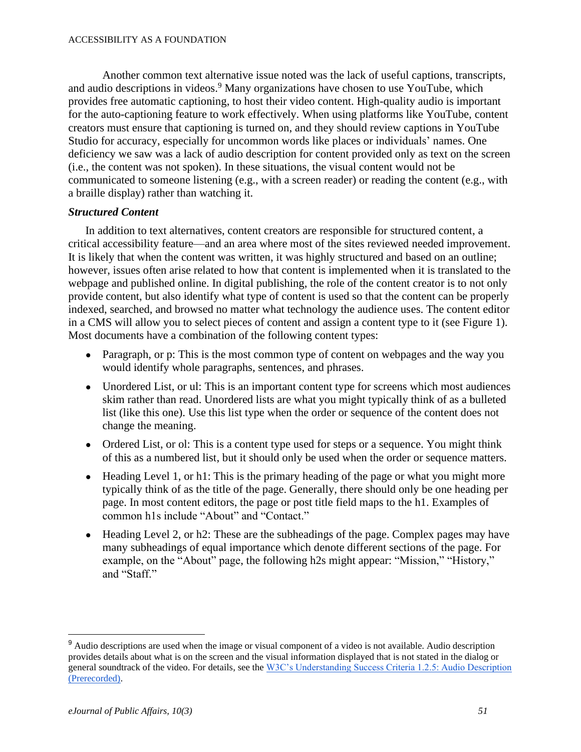Another common text alternative issue noted was the lack of useful captions, transcripts, and audio descriptions in videos.<sup>9</sup> Many organizations have chosen to use YouTube, which provides free automatic captioning, to host their video content. High-quality audio is important for the auto-captioning feature to work effectively. When using platforms like YouTube, content creators must ensure that captioning is turned on, and they should review captions in YouTube Studio for accuracy, especially for uncommon words like places or individuals' names. One deficiency we saw was a lack of audio description for content provided only as text on the screen (i.e., the content was not spoken). In these situations, the visual content would not be communicated to someone listening (e.g., with a screen reader) or reading the content (e.g., with a braille display) rather than watching it.

#### *Structured Content*

In addition to text alternatives, content creators are responsible for structured content, a critical accessibility feature—and an area where most of the sites reviewed needed improvement. It is likely that when the content was written, it was highly structured and based on an outline; however, issues often arise related to how that content is implemented when it is translated to the webpage and published online. In digital publishing, the role of the content creator is to not only provide content, but also identify what type of content is used so that the content can be properly indexed, searched, and browsed no matter what technology the audience uses. The content editor in a CMS will allow you to select pieces of content and assign a content type to it (see Figure 1). Most documents have a combination of the following content types:

- Paragraph, or p: This is the most common type of content on webpages and the way you would identify whole paragraphs, sentences, and phrases.
- Unordered List, or ul: This is an important content type for screens which most audiences skim rather than read. Unordered lists are what you might typically think of as a bulleted list (like this one). Use this list type when the order or sequence of the content does not change the meaning.
- Ordered List, or ol: This is a content type used for steps or a sequence. You might think of this as a numbered list, but it should only be used when the order or sequence matters.
- Heading Level 1, or h1: This is the primary heading of the page or what you might more typically think of as the title of the page. Generally, there should only be one heading per page. In most content editors, the page or post title field maps to the h1. Examples of common h1s include "About" and "Contact."
- Heading Level 2, or h2: These are the subheadings of the page. Complex pages may have many subheadings of equal importance which denote different sections of the page. For example, on the "About" page, the following h2s might appear: "Mission," "History," and "Staff."

<sup>&</sup>lt;sup>9</sup> Audio descriptions are used when the image or visual component of a video is not available. Audio description provides details about what is on the screen and the visual information displayed that is not stated in the dialog or general soundtrack of the video. For details, see th[e W3C's Understanding Success Criteria 1.2.5: Audio Description](https://www.w3.org/WAI/WCAG21/Understanding/audio-description-prerecorded.html)  [\(Prerecorded\).](https://www.w3.org/WAI/WCAG21/Understanding/audio-description-prerecorded.html)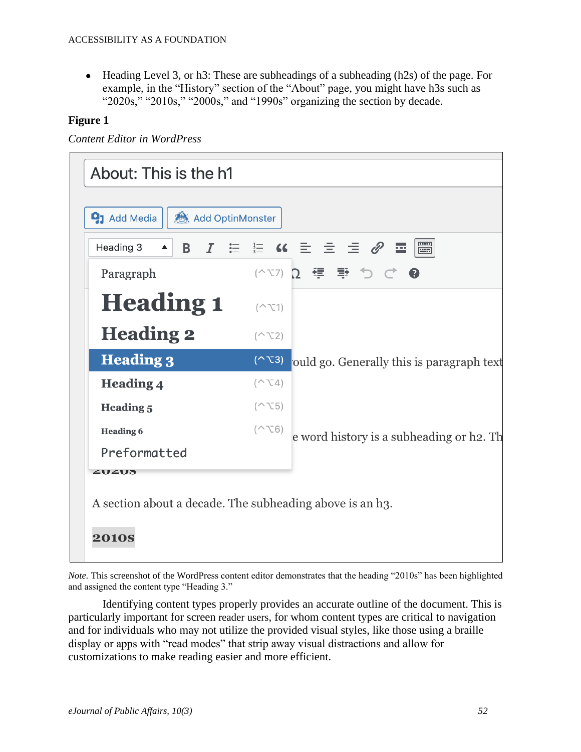• Heading Level 3, or h3: These are subheadings of a subheading (h2s) of the page. For example, in the "History" section of the "About" page, you might have h3s such as "2020s," "2010s," "2000s," and "1990s" organizing the section by decade.

# **Figure 1**

*Content Editor in WordPress*

| Add OptinMonster<br>$\mathbf{Q}_1$ Add Media |                   |                                                                                                                                                 |
|----------------------------------------------|-------------------|-------------------------------------------------------------------------------------------------------------------------------------------------|
| Heading 3<br>B<br>$\blacktriangle$           |                   | $I$ $\equiv$ $\stackrel{.}{=}$ $\kappa$ $\stackrel{.}{=}$ $\stackrel{.}{=}$ $\stackrel{.}{=}$ $\mathscr{O}$ $\stackrel{.}{=}$ $\stackrel{.}{=}$ |
| Paragraph                                    |                   | (^∇7) Ω 弴 垂 つ ♂ ❷                                                                                                                               |
| <b>Heading 1</b>                             | $(\sim$ $\sim$ 1) |                                                                                                                                                 |
| <b>Heading 2</b>                             | $(\sim$ $\sim$ 2) |                                                                                                                                                 |
| <b>Heading 3</b>                             | $(\sim$ $\sim$ 3) | ould go. Generally this is paragraph text                                                                                                       |
| <b>Heading 4</b>                             | $(\sim$ \cdot 4)  |                                                                                                                                                 |
| <b>Heading 5</b>                             | $(\sim$ \cdot 5)  |                                                                                                                                                 |
| <b>Heading 6</b>                             | $(\sim$ $\sim$ 6) | e word history is a subheading or h2. Th                                                                                                        |
| Preformatted                                 |                   |                                                                                                                                                 |
| ZUZUS                                        |                   |                                                                                                                                                 |

*Note.* This screenshot of the WordPress content editor demonstrates that the heading "2010s" has been highlighted and assigned the content type "Heading 3."

Identifying content types properly provides an accurate outline of the document. This is particularly important for screen reader users, for whom content types are critical to navigation and for individuals who may not utilize the provided visual styles, like those using a braille display or apps with "read modes" that strip away visual distractions and allow for customizations to make reading easier and more efficient.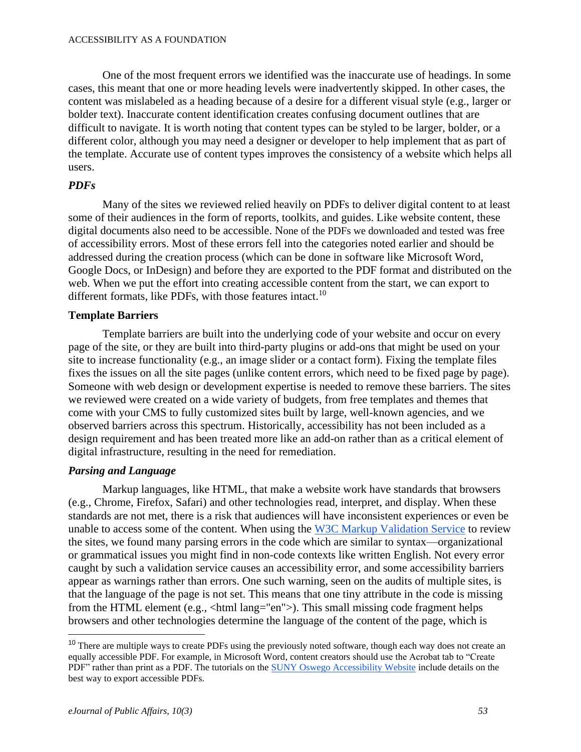One of the most frequent errors we identified was the inaccurate use of headings. In some cases, this meant that one or more heading levels were inadvertently skipped. In other cases, the content was mislabeled as a heading because of a desire for a different visual style (e.g., larger or bolder text). Inaccurate content identification creates confusing document outlines that are difficult to navigate. It is worth noting that content types can be styled to be larger, bolder, or a different color, although you may need a designer or developer to help implement that as part of the template. Accurate use of content types improves the consistency of a website which helps all users.

# *PDFs*

Many of the sites we reviewed relied heavily on PDFs to deliver digital content to at least some of their audiences in the form of reports, toolkits, and guides. Like website content, these digital documents also need to be accessible. None of the PDFs we downloaded and tested was free of accessibility errors. Most of these errors fell into the categories noted earlier and should be addressed during the creation process (which can be done in software like Microsoft Word, Google Docs, or InDesign) and before they are exported to the PDF format and distributed on the web. When we put the effort into creating accessible content from the start, we can export to different formats, like PDFs, with those features intact.<sup>10</sup>

#### **Template Barriers**

Template barriers are built into the underlying code of your website and occur on every page of the site, or they are built into third-party plugins or add-ons that might be used on your site to increase functionality (e.g., an image slider or a contact form). Fixing the template files fixes the issues on all the site pages (unlike content errors, which need to be fixed page by page). Someone with web design or development expertise is needed to remove these barriers. The sites we reviewed were created on a wide variety of budgets, from free templates and themes that come with your CMS to fully customized sites built by large, well-known agencies, and we observed barriers across this spectrum. Historically, accessibility has not been included as a design requirement and has been treated more like an add-on rather than as a critical element of digital infrastructure, resulting in the need for remediation.

# *Parsing and Language*

Markup languages, like HTML, that make a website work have standards that browsers (e.g., Chrome, Firefox, Safari) and other technologies read, interpret, and display. When these standards are not met, there is a risk that audiences will have inconsistent experiences or even be unable to access some of the content. When using the [W3C Markup Validation Service](https://validator.w3.org/) to review the sites, we found many parsing errors in the code which are similar to syntax—organizational or grammatical issues you might find in non-code contexts like written English. Not every error caught by such a validation service causes an accessibility error, and some accessibility barriers appear as warnings rather than errors. One such warning, seen on the audits of multiple sites, is that the language of the page is not set. This means that one tiny attribute in the code is missing from the HTML element (e.g., <html lang="en">). This small missing code fragment helps browsers and other technologies determine the language of the content of the page, which is

<sup>&</sup>lt;sup>10</sup> There are multiple ways to create PDFs using the previously noted software, though each way does not create an equally accessible PDF. For example, in Microsoft Word, content creators should use the Acrobat tab to "Create PDF" rather than print as a PDF. The tutorials on the [SUNY Oswego Accessibility Website](https://ww1.oswego.edu/accessibility/written-and-video-tutorials) include details on the best way to export accessible PDFs.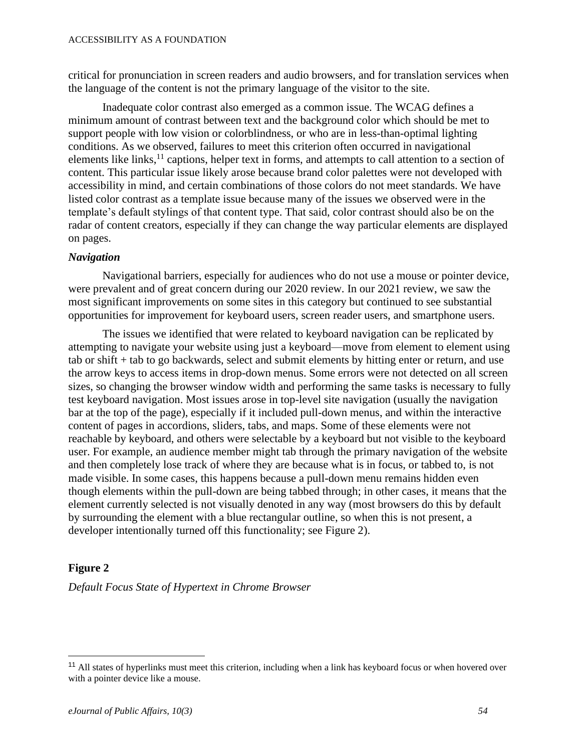critical for pronunciation in screen readers and audio browsers, and for translation services when the language of the content is not the primary language of the visitor to the site.

Inadequate color contrast also emerged as a common issue. The WCAG defines a minimum amount of contrast between text and the background color which should be met to support people with low vision or colorblindness, or who are in less-than-optimal lighting conditions. As we observed, failures to meet this criterion often occurred in navigational elements like links, $^{11}$  captions, helper text in forms, and attempts to call attention to a section of content. This particular issue likely arose because brand color palettes were not developed with accessibility in mind, and certain combinations of those colors do not meet standards. We have listed color contrast as a template issue because many of the issues we observed were in the template's default stylings of that content type. That said, color contrast should also be on the radar of content creators, especially if they can change the way particular elements are displayed on pages.

#### *Navigation*

Navigational barriers, especially for audiences who do not use a mouse or pointer device, were prevalent and of great concern during our 2020 review. In our 2021 review, we saw the most significant improvements on some sites in this category but continued to see substantial opportunities for improvement for keyboard users, screen reader users, and smartphone users.

The issues we identified that were related to keyboard navigation can be replicated by attempting to navigate your website using just a keyboard—move from element to element using tab or shift + tab to go backwards, select and submit elements by hitting enter or return, and use the arrow keys to access items in drop-down menus. Some errors were not detected on all screen sizes, so changing the browser window width and performing the same tasks is necessary to fully test keyboard navigation. Most issues arose in top-level site navigation (usually the navigation bar at the top of the page), especially if it included pull-down menus, and within the interactive content of pages in accordions, sliders, tabs, and maps. Some of these elements were not reachable by keyboard, and others were selectable by a keyboard but not visible to the keyboard user. For example, an audience member might tab through the primary navigation of the website and then completely lose track of where they are because what is in focus, or tabbed to, is not made visible. In some cases, this happens because a pull-down menu remains hidden even though elements within the pull-down are being tabbed through; in other cases, it means that the element currently selected is not visually denoted in any way (most browsers do this by default by surrounding the element with a blue rectangular outline, so when this is not present, a developer intentionally turned off this functionality; see Figure 2).

#### **Figure 2**

*Default Focus State of Hypertext in Chrome Browser*

<sup>&</sup>lt;sup>11</sup> All states of hyperlinks must meet this criterion, including when a link has keyboard focus or when hovered over with a pointer device like a mouse.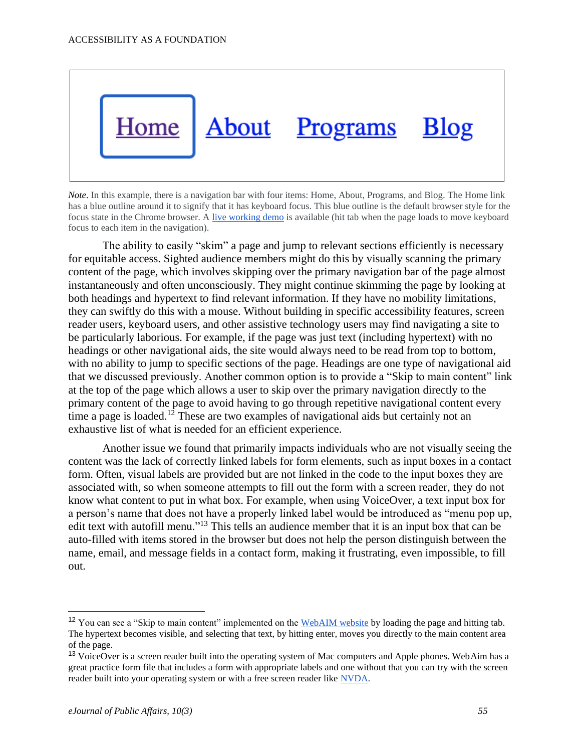

*Note*. In this example, there is a navigation bar with four items: Home, About, Programs, and Blog. The Home link has a blue outline around it to signify that it has keyboard focus. This blue outline is the default browser style for the focus state in the Chrome browser. [A live working demo](https://cyberthread.github.io/focusStateDefault/) is available (hit tab when the page loads to move keyboard focus to each item in the navigation).

The ability to easily "skim" a page and jump to relevant sections efficiently is necessary for equitable access. Sighted audience members might do this by visually scanning the primary content of the page, which involves skipping over the primary navigation bar of the page almost instantaneously and often unconsciously. They might continue skimming the page by looking at both headings and hypertext to find relevant information. If they have no mobility limitations, they can swiftly do this with a mouse. Without building in specific accessibility features, screen reader users, keyboard users, and other assistive technology users may find navigating a site to be particularly laborious. For example, if the page was just text (including hypertext) with no headings or other navigational aids, the site would always need to be read from top to bottom, with no ability to jump to specific sections of the page. Headings are one type of navigational aid that we discussed previously. Another common option is to provide a "Skip to main content" link at the top of the page which allows a user to skip over the primary navigation directly to the primary content of the page to avoid having to go through repetitive navigational content every time a page is loaded.<sup>12</sup> These are two examples of navigational aids but certainly not an exhaustive list of what is needed for an efficient experience.

Another issue we found that primarily impacts individuals who are not visually seeing the content was the lack of correctly linked labels for form elements, such as input boxes in a contact form. Often, visual labels are provided but are not linked in the code to the input boxes they are associated with, so when someone attempts to fill out the form with a screen reader, they do not know what content to put in what box. For example, when using VoiceOver, a text input box for a person's name that does not have a properly linked label would be introduced as "menu pop up, edit text with autofill menu."<sup>13</sup> This tells an audience member that it is an input box that can be auto-filled with items stored in the browser but does not help the person distinguish between the name, email, and message fields in a contact form, making it frustrating, even impossible, to fill out.

<sup>&</sup>lt;sup>12</sup> You can see a "Skip to main content" implemented on the [WebAIM website](https://webaim.org/) by loading the page and hitting tab. The hypertext becomes visible, and selecting that text, by hitting enter, moves you directly to the main content area of the page.

<sup>&</sup>lt;sup>13</sup> VoiceOver is a screen reader built into the operating system of Mac computers and Apple phones. WebAim has a great practice form file that includes a form with appropriate labels and one without that you can try with the screen reader built into your operating system or with a free screen reader like [NVDA.](https://www.nvaccess.org/download/)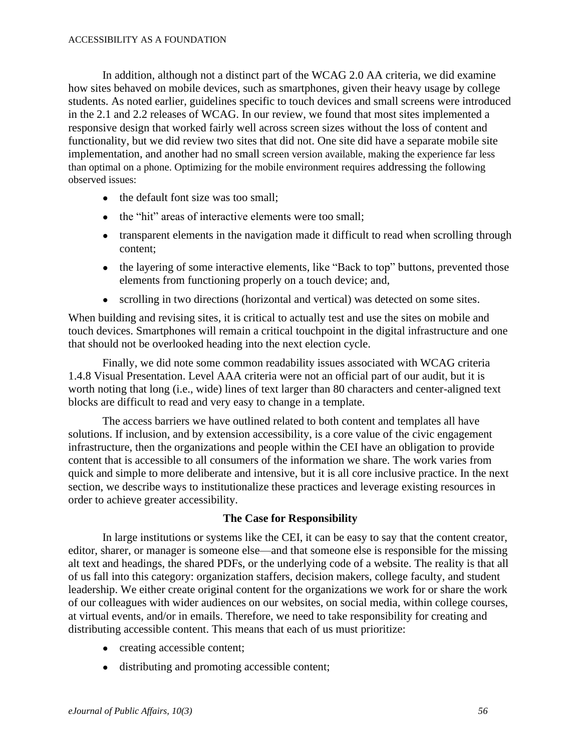In addition, although not a distinct part of the WCAG 2.0 AA criteria, we did examine how sites behaved on mobile devices, such as smartphones, given their heavy usage by college students. As noted earlier, guidelines specific to touch devices and small screens were introduced in the 2.1 and 2.2 releases of WCAG. In our review, we found that most sites implemented a responsive design that worked fairly well across screen sizes without the loss of content and functionality, but we did review two sites that did not. One site did have a separate mobile site implementation, and another had no small screen version available, making the experience far less than optimal on a phone. Optimizing for the mobile environment requires addressing the following observed issues:

- the default font size was too small:
- the "hit" areas of interactive elements were too small:
- transparent elements in the navigation made it difficult to read when scrolling through content;
- the layering of some interactive elements, like "Back to top" buttons, prevented those elements from functioning properly on a touch device; and,
- scrolling in two directions (horizontal and vertical) was detected on some sites.

When building and revising sites, it is critical to actually test and use the sites on mobile and touch devices. Smartphones will remain a critical touchpoint in the digital infrastructure and one that should not be overlooked heading into the next election cycle.

Finally, we did note some common readability issues associated with WCAG criteria 1.4.8 Visual Presentation. Level AAA criteria were not an official part of our audit, but it is worth noting that long (i.e., wide) lines of text larger than 80 characters and center-aligned text blocks are difficult to read and very easy to change in a template.

The access barriers we have outlined related to both content and templates all have solutions. If inclusion, and by extension accessibility, is a core value of the civic engagement infrastructure, then the organizations and people within the CEI have an obligation to provide content that is accessible to all consumers of the information we share. The work varies from quick and simple to more deliberate and intensive, but it is all core inclusive practice. In the next section, we describe ways to institutionalize these practices and leverage existing resources in order to achieve greater accessibility.

#### **The Case for Responsibility**

In large institutions or systems like the CEI, it can be easy to say that the content creator, editor, sharer, or manager is someone else—and that someone else is responsible for the missing alt text and headings, the shared PDFs, or the underlying code of a website. The reality is that all of us fall into this category: organization staffers, decision makers, college faculty, and student leadership. We either create original content for the organizations we work for or share the work of our colleagues with wider audiences on our websites, on social media, within college courses, at virtual events, and/or in emails. Therefore, we need to take responsibility for creating and distributing accessible content. This means that each of us must prioritize:

- creating accessible content;
- distributing and promoting accessible content;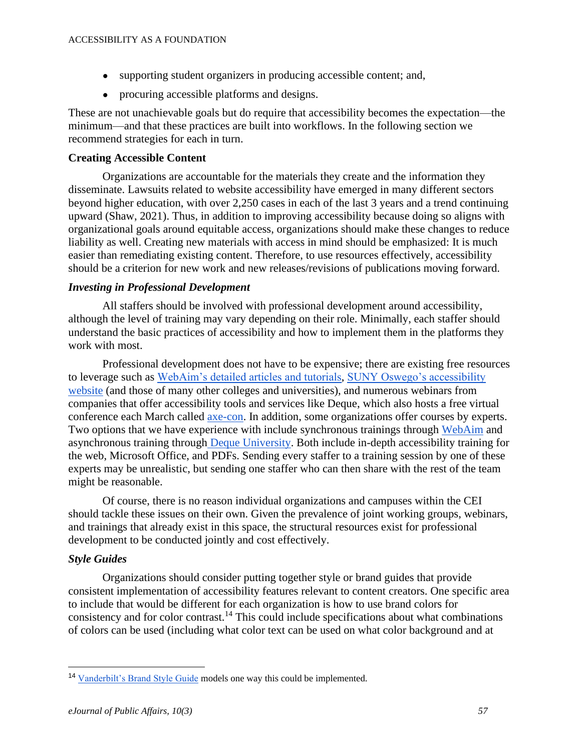- supporting student organizers in producing accessible content; and,
- procuring accessible platforms and designs.

These are not unachievable goals but do require that accessibility becomes the expectation—the minimum—and that these practices are built into workflows. In the following section we recommend strategies for each in turn.

#### **Creating Accessible Content**

Organizations are accountable for the materials they create and the information they disseminate. Lawsuits related to website accessibility have emerged in many different sectors beyond higher education, with over 2,250 cases in each of the last 3 years and a trend continuing upward (Shaw, 2021). Thus, in addition to improving accessibility because doing so aligns with organizational goals around equitable access, organizations should make these changes to reduce liability as well. Creating new materials with access in mind should be emphasized: It is much easier than remediating existing content. Therefore, to use resources effectively, accessibility should be a criterion for new work and new releases/revisions of publications moving forward.

#### *Investing in Professional Development*

All staffers should be involved with professional development around accessibility, although the level of training may vary depending on their role. Minimally, each staffer should understand the basic practices of accessibility and how to implement them in the platforms they work with most.

Professional development does not have to be expensive; there are existing free resources to leverage such as [WebAim's detailed articles and tutorials,](https://webaim.org/articles/) [SUNY Oswego's accessibility](https://ww1.oswego.edu/accessibility/)  [website](https://ww1.oswego.edu/accessibility/) (and those of many other colleges and universities), and numerous webinars from companies that offer accessibility tools and services like Deque, which also hosts a free virtual conference each March called axe-con. In addition, some organizations offer courses by experts. Two options that we have experience with include synchronous trainings through [WebAim](https://webaim.org/services/training/) and asynchronous training through [Deque University.](https://dequeuniversity.com/) Both include in-depth accessibility training for the web, Microsoft Office, and PDFs. Sending every staffer to a training session by one of these experts may be unrealistic, but sending one staffer who can then share with the rest of the team might be reasonable.

Of course, there is no reason individual organizations and campuses within the CEI should tackle these issues on their own. Given the prevalence of joint working groups, webinars, and trainings that already exist in this space, the structural resources exist for professional development to be conducted jointly and cost effectively.

# *Style Guides*

Organizations should consider putting together style or brand guides that provide consistent implementation of accessibility features relevant to content creators. One specific area to include that would be different for each organization is how to use brand colors for consistency and for color contrast.<sup>14</sup> This could include specifications about what combinations of colors can be used (including what color text can be used on what color background and at

<sup>14</sup> [Vanderbilt's Brand Style Guide](https://www.vanderbilt.edu/communications/brand/accessibility.php) models one way this could be implemented.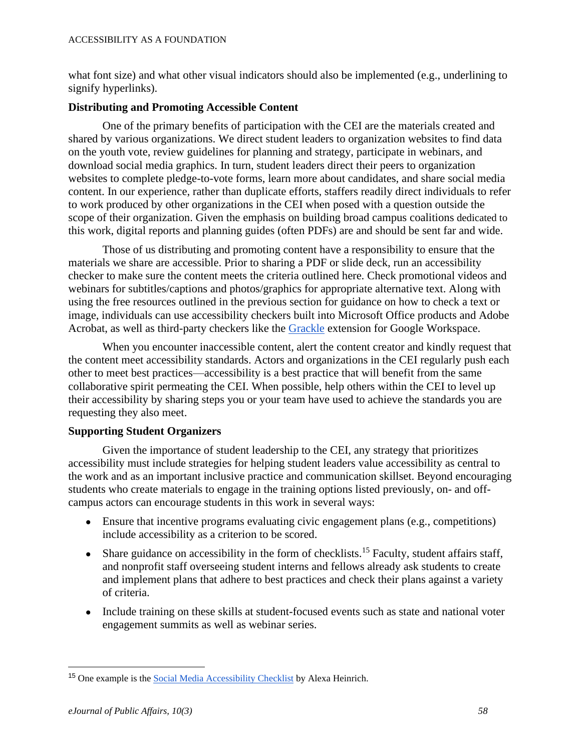what font size) and what other visual indicators should also be implemented (e.g., underlining to signify hyperlinks).

#### **Distributing and Promoting Accessible Content**

One of the primary benefits of participation with the CEI are the materials created and shared by various organizations. We direct student leaders to organization websites to find data on the youth vote, review guidelines for planning and strategy, participate in webinars, and download social media graphics. In turn, student leaders direct their peers to organization websites to complete pledge-to-vote forms, learn more about candidates, and share social media content. In our experience, rather than duplicate efforts, staffers readily direct individuals to refer to work produced by other organizations in the CEI when posed with a question outside the scope of their organization. Given the emphasis on building broad campus coalitions dedicated to this work, digital reports and planning guides (often PDFs) are and should be sent far and wide.

Those of us distributing and promoting content have a responsibility to ensure that the materials we share are accessible. Prior to sharing a PDF or slide deck, run an accessibility checker to make sure the content meets the criteria outlined here. Check promotional videos and webinars for subtitles/captions and photos/graphics for appropriate alternative text. Along with using the free resources outlined in the previous section for guidance on how to check a text or image, individuals can use accessibility checkers built into Microsoft Office products and Adobe Acrobat, as well as third-party checkers like the [Grackle](https://chrome.google.com/webstore/detail/grackle-accessibility-che/copojmaamcpblldileiipebpfjahcnjf?hl=en) extension for Google Workspace.

When you encounter inaccessible content, alert the content creator and kindly request that the content meet accessibility standards. Actors and organizations in the CEI regularly push each other to meet best practices—accessibility is a best practice that will benefit from the same collaborative spirit permeating the CEI. When possible, help others within the CEI to level up their accessibility by sharing steps you or your team have used to achieve the standards you are requesting they also meet.

# **Supporting Student Organizers**

Given the importance of student leadership to the CEI, any strategy that prioritizes accessibility must include strategies for helping student leaders value accessibility as central to the work and as an important inclusive practice and communication skillset. Beyond encouraging students who create materials to engage in the training options listed previously, on- and offcampus actors can encourage students in this work in several ways:

- Ensure that incentive programs evaluating civic engagement plans (e.g., competitions) include accessibility as a criterion to be scored.
- Share guidance on accessibility in the form of checklists.<sup>15</sup> Faculty, student affairs staff, and nonprofit staff overseeing student interns and fellows already ask students to create and implement plans that adhere to best practices and check their plans against a variety of criteria.
- Include training on these skills at student-focused events such as state and national voter engagement summits as well as webinar series.

<sup>15</sup> One example is th[e Social Media Accessibility Checklist](https://therealalexa.com/accessible-social) by Alexa Heinrich.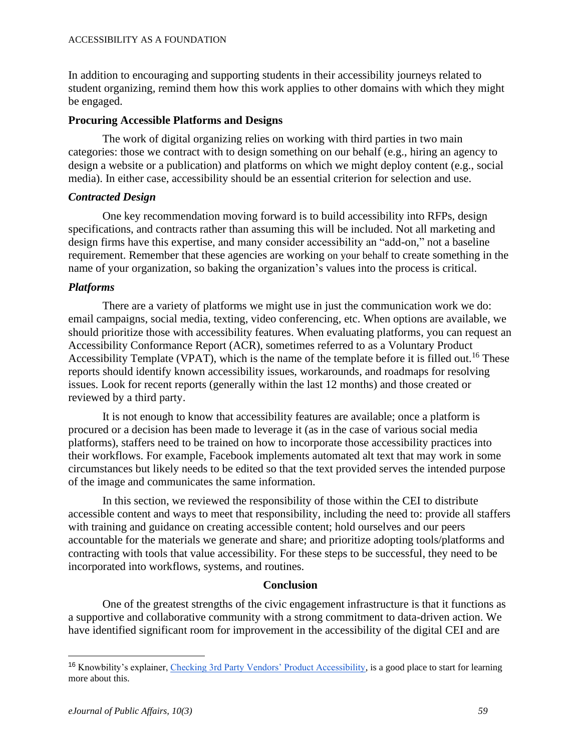#### ACCESSIBILITY AS A FOUNDATION

In addition to encouraging and supporting students in their accessibility journeys related to student organizing, remind them how this work applies to other domains with which they might be engaged.

#### **Procuring Accessible Platforms and Designs**

The work of digital organizing relies on working with third parties in two main categories: those we contract with to design something on our behalf (e.g., hiring an agency to design a website or a publication) and platforms on which we might deploy content (e.g., social media). In either case, accessibility should be an essential criterion for selection and use.

#### *Contracted Design*

One key recommendation moving forward is to build accessibility into RFPs, design specifications, and contracts rather than assuming this will be included. Not all marketing and design firms have this expertise, and many consider accessibility an "add-on," not a baseline requirement. Remember that these agencies are working on your behalf to create something in the name of your organization, so baking the organization's values into the process is critical.

#### *Platforms*

There are a variety of platforms we might use in just the communication work we do: email campaigns, social media, texting, video conferencing, etc. When options are available, we should prioritize those with accessibility features. When evaluating platforms, you can request an Accessibility Conformance Report (ACR), sometimes referred to as a Voluntary Product Accessibility Template (VPAT), which is the name of the template before it is filled out.<sup>16</sup> These reports should identify known accessibility issues, workarounds, and roadmaps for resolving issues. Look for recent reports (generally within the last 12 months) and those created or reviewed by a third party.

It is not enough to know that accessibility features are available; once a platform is procured or a decision has been made to leverage it (as in the case of various social media platforms), staffers need to be trained on how to incorporate those accessibility practices into their workflows. For example, Facebook implements automated alt text that may work in some circumstances but likely needs to be edited so that the text provided serves the intended purpose of the image and communicates the same information.

In this section, we reviewed the responsibility of those within the CEI to distribute accessible content and ways to meet that responsibility, including the need to: provide all staffers with training and guidance on creating accessible content; hold ourselves and our peers accountable for the materials we generate and share; and prioritize adopting tools/platforms and contracting with tools that value accessibility. For these steps to be successful, they need to be incorporated into workflows, systems, and routines.

#### **Conclusion**

One of the greatest strengths of the civic engagement infrastructure is that it functions as a supportive and collaborative community with a strong commitment to data-driven action. We have identified significant room for improvement in the accessibility of the digital CEI and are

<sup>&</sup>lt;sup>16</sup> Knowbility's explainer, [Checking 3rd Party Vendors' Product Accessibility,](https://knowbility.org/blog/2020/third-party-vendor-accessibility-check) is a good place to start for learning more about this.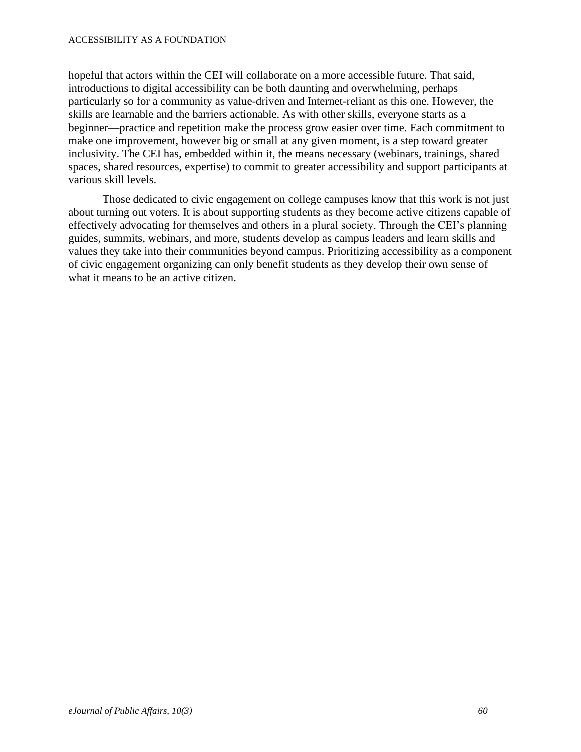#### ACCESSIBILITY AS A FOUNDATION

hopeful that actors within the CEI will collaborate on a more accessible future. That said, introductions to digital accessibility can be both daunting and overwhelming, perhaps particularly so for a community as value-driven and Internet-reliant as this one. However, the skills are learnable and the barriers actionable. As with other skills, everyone starts as a beginner—practice and repetition make the process grow easier over time. Each commitment to make one improvement, however big or small at any given moment, is a step toward greater inclusivity. The CEI has, embedded within it, the means necessary (webinars, trainings, shared spaces, shared resources, expertise) to commit to greater accessibility and support participants at various skill levels.

Those dedicated to civic engagement on college campuses know that this work is not just about turning out voters. It is about supporting students as they become active citizens capable of effectively advocating for themselves and others in a plural society. Through the CEI's planning guides, summits, webinars, and more, students develop as campus leaders and learn skills and values they take into their communities beyond campus. Prioritizing accessibility as a component of civic engagement organizing can only benefit students as they develop their own sense of what it means to be an active citizen.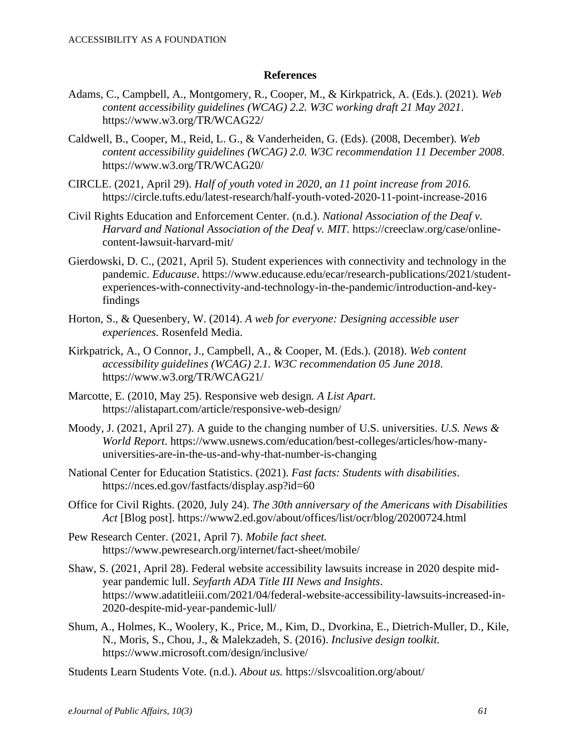#### **References**

- Adams, C., Campbell, A., Montgomery, R., Cooper, M., & Kirkpatrick, A. (Eds.). (2021). *Web content accessibility guidelines (WCAG) 2.2. W3C working draft 21 May 2021*. https://www.w3.org/TR/WCAG22/
- Caldwell, B., Cooper, M., Reid, L. G., & Vanderheiden, G. (Eds). (2008, December). *Web content accessibility guidelines (WCAG) 2.0. W3C recommendation 11 December 2008*. https://www.w3.org/TR/WCAG20/
- CIRCLE. (2021, April 29). *Half of youth voted in 2020, an 11 point increase from 2016.* https://circle.tufts.edu/latest-research/half-youth-voted-2020-11-point-increase-2016
- Civil Rights Education and Enforcement Center. (n.d.). *National Association of the Deaf v. Harvard and National Association of the Deaf v. MIT.* https://creeclaw.org/case/onlinecontent-lawsuit-harvard-mit/
- Gierdowski, D. C., (2021, April 5). Student experiences with connectivity and technology in the pandemic. *Educause*. https://www.educause.edu/ecar/research-publications/2021/studentexperiences-with-connectivity-and-technology-in-the-pandemic/introduction-and-keyfindings
- Horton, S., & Quesenbery, W. (2014). *A web for everyone: Designing accessible user experiences.* Rosenfeld Media.
- Kirkpatrick, A., O Connor, J., Campbell, A., & Cooper, M. (Eds.). (2018). *Web content accessibility guidelines (WCAG) 2.1. W3C recommendation 05 June 2018*. https://www.w3.org/TR/WCAG21/
- Marcotte, E. (2010, May 25). Responsive web design*. A List Apart*. https://alistapart.com/article/responsive-web-design/
- Moody, J. (2021, April 27). A guide to the changing number of U.S. universities. *U.S. News & World Report*. https://www.usnews.com/education/best-colleges/articles/how-manyuniversities-are-in-the-us-and-why-that-number-is-changing
- National Center for Education Statistics. (2021). *Fast facts: Students with disabilities*. https://nces.ed.gov/fastfacts/display.asp?id=60
- Office for Civil Rights. (2020, July 24). *The 30th anniversary of the Americans with Disabilities Act* [Blog post]. https://www2.ed.gov/about/offices/list/ocr/blog/20200724.html
- Pew Research Center. (2021, April 7). *Mobile fact sheet.*  https://www.pewresearch.org/internet/fact-sheet/mobile/
- Shaw, S. (2021, April 28). Federal website accessibility lawsuits increase in 2020 despite midyear pandemic lull. *Seyfarth ADA Title III News and Insights*. https://www.adatitleiii.com/2021/04/federal-website-accessibility-lawsuits-increased-in-2020-despite-mid-year-pandemic-lull/
- Shum, A., Holmes, K., Woolery, K., Price, M., Kim, D., Dvorkina, E., Dietrich-Muller, D., Kile, N., Moris, S., Chou, J., & Malekzadeh, S. (2016). *Inclusive design toolkit.* https://www.microsoft.com/design/inclusive/

Students Learn Students Vote. (n.d.). *About us.* https://slsvcoalition.org/about/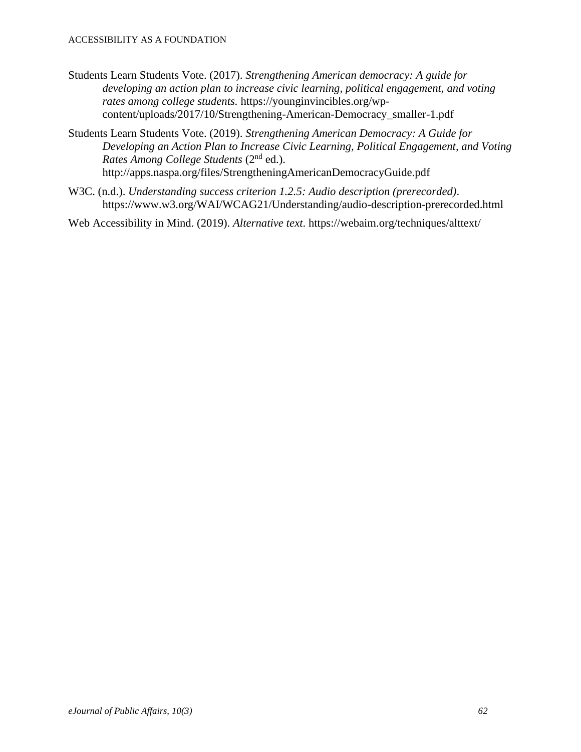- Students Learn Students Vote. (2017). *Strengthening American democracy: A guide for developing an action plan to increase civic learning, political engagement, and voting rates among college students.* https://younginvincibles.org/wpcontent/uploads/2017/10/Strengthening-American-Democracy\_smaller-1.pdf
- Students Learn Students Vote. (2019). *Strengthening American Democracy: A Guide for Developing an Action Plan to Increase Civic Learning, Political Engagement, and Voting Rates Among College Students* (2nd ed.). http://apps.naspa.org/files/StrengtheningAmericanDemocracyGuide.pdf
- W3C. (n.d.). *Understanding success criterion 1.2.5: Audio description (prerecorded)*. https://www.w3.org/WAI/WCAG21/Understanding/audio-description-prerecorded.html

Web Accessibility in Mind. (2019). *Alternative text*. https://webaim.org/techniques/alttext/